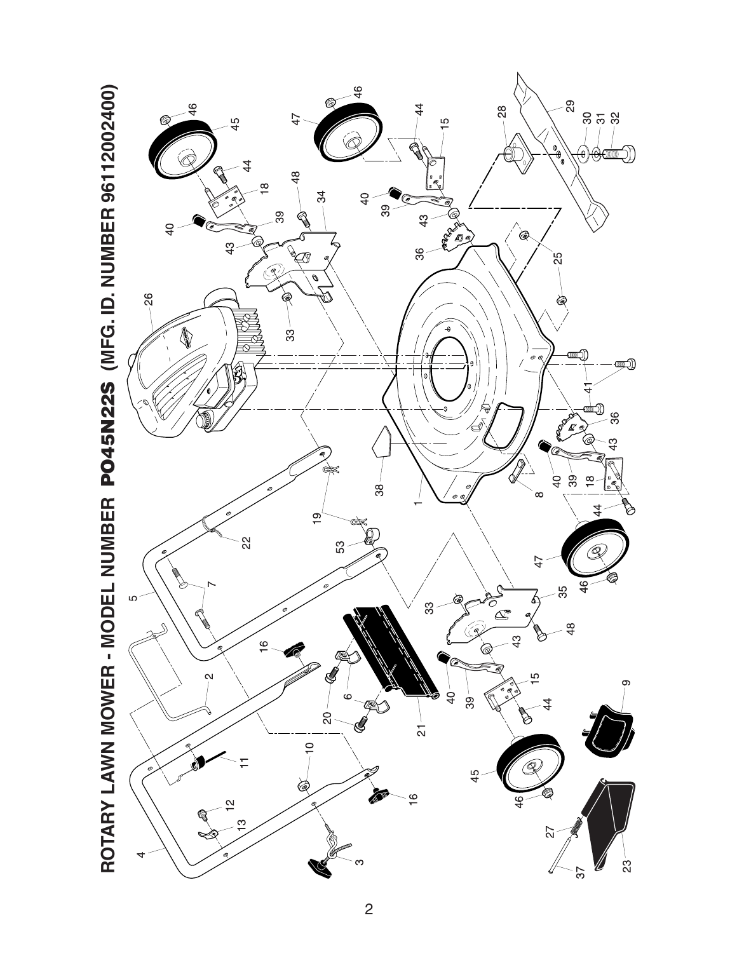

 $\overline{c}$